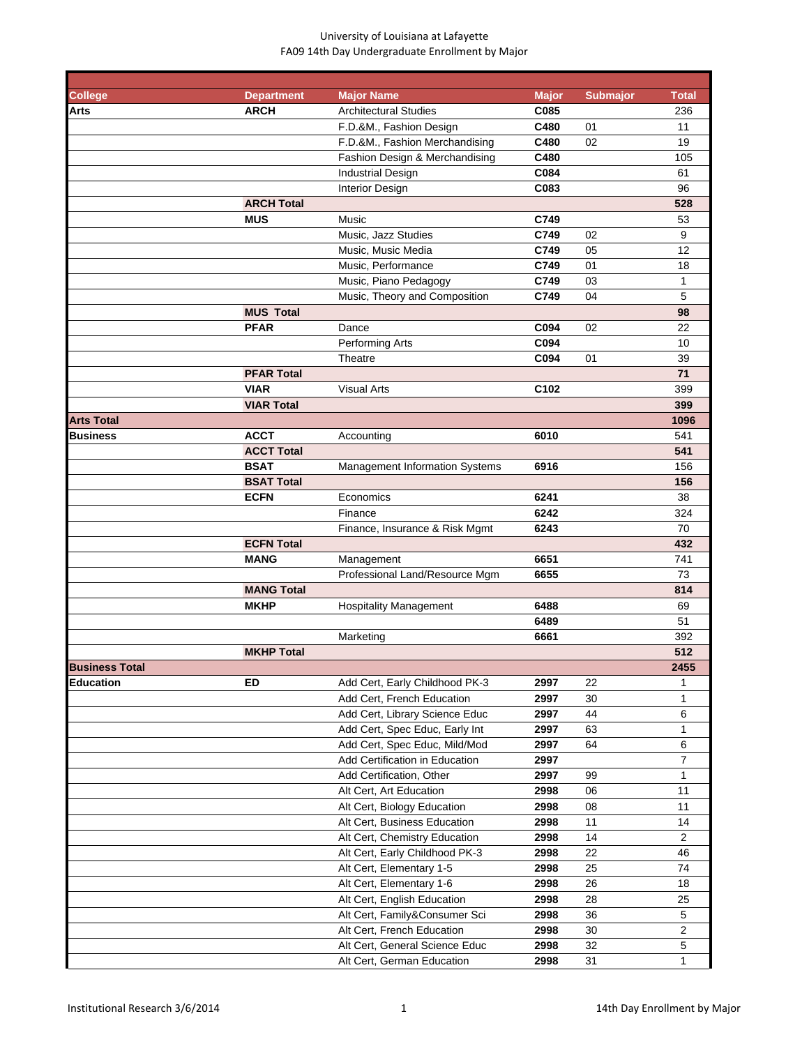| <b>College</b>        | <b>Department</b> | <b>Major Name</b>              | <b>Major</b> | <b>Submajor</b> | <b>Total</b>   |
|-----------------------|-------------------|--------------------------------|--------------|-----------------|----------------|
| Arts                  | <b>ARCH</b>       | <b>Architectural Studies</b>   | C085         |                 | 236            |
|                       |                   | F.D.&M., Fashion Design        | C480         | 01              | 11             |
|                       |                   | F.D.&M., Fashion Merchandising | C480         | 02              | 19             |
|                       |                   | Fashion Design & Merchandising | C480         |                 | 105            |
|                       |                   | <b>Industrial Design</b>       | C084         |                 | 61             |
|                       |                   | Interior Design                | C083         |                 | 96             |
|                       | <b>ARCH Total</b> |                                |              |                 | 528            |
|                       | <b>MUS</b>        | Music                          | C749         |                 | 53             |
|                       |                   | Music, Jazz Studies            | C749         | 02              | 9              |
|                       |                   | Music, Music Media             | C749         | 05              | 12             |
|                       |                   | Music, Performance             | C749         | 01              | 18             |
|                       |                   | Music, Piano Pedagogy          | C749         | 03              | 1              |
|                       |                   | Music, Theory and Composition  | C749         | 04              | 5              |
|                       | <b>MUS Total</b>  |                                |              |                 | 98             |
|                       | <b>PFAR</b>       | Dance                          | C094         | 02              | 22             |
|                       |                   | Performing Arts                | C094         |                 | 10             |
|                       |                   | Theatre                        | C094         | 01              | 39             |
|                       | <b>PFAR Total</b> |                                |              |                 | 71             |
|                       | <b>VIAR</b>       | <b>Visual Arts</b>             | C102         |                 | 399            |
|                       | <b>VIAR Total</b> |                                |              |                 | 399            |
| <b>Arts Total</b>     |                   |                                |              |                 | 1096           |
| <b>Business</b>       | <b>ACCT</b>       | Accounting                     | 6010         |                 | 541            |
|                       | <b>ACCT Total</b> |                                |              |                 | 541            |
|                       | <b>BSAT</b>       | Management Information Systems | 6916         |                 | 156            |
|                       | <b>BSAT Total</b> |                                |              |                 | 156            |
|                       | <b>ECFN</b>       | Economics                      | 6241         |                 | 38             |
|                       |                   | Finance                        | 6242         |                 | 324            |
|                       |                   | Finance, Insurance & Risk Mgmt | 6243         |                 | 70             |
|                       | <b>ECFN Total</b> |                                |              |                 | 432            |
|                       | <b>MANG</b>       |                                | 6651         |                 | 741            |
|                       |                   | Management                     |              |                 |                |
|                       |                   | Professional Land/Resource Mgm | 6655         |                 | 73             |
|                       | <b>MANG Total</b> |                                |              |                 | 814            |
|                       | <b>MKHP</b>       | <b>Hospitality Management</b>  | 6488         |                 | 69             |
|                       |                   |                                | 6489         |                 | 51             |
|                       |                   | Marketing                      | 6661         |                 | 392            |
|                       | <b>MKHP Total</b> |                                |              |                 | 512            |
| <b>Business Total</b> |                   |                                |              |                 | 2455           |
| Education             | <b>ED</b>         | Add Cert, Early Childhood PK-3 | 2997         | 22              | 1              |
|                       |                   | Add Cert, French Education     | 2997         | 30              | 1              |
|                       |                   | Add Cert, Library Science Educ | 2997         | 44              | 6              |
|                       |                   | Add Cert, Spec Educ, Early Int | 2997         | 63              | 1              |
|                       |                   | Add Cert, Spec Educ, Mild/Mod  | 2997         | 64              | 6              |
|                       |                   | Add Certification in Education | 2997         |                 | $\overline{7}$ |
|                       |                   | Add Certification, Other       | 2997         | 99              | 1              |
|                       |                   | Alt Cert, Art Education        | 2998         | 06              | 11             |
|                       |                   | Alt Cert, Biology Education    | 2998         | 08              | 11             |
|                       |                   | Alt Cert, Business Education   | 2998         | 11              | 14             |
|                       |                   | Alt Cert, Chemistry Education  | 2998         | 14              | $\overline{2}$ |
|                       |                   | Alt Cert, Early Childhood PK-3 | 2998         | 22              | 46             |
|                       |                   | Alt Cert, Elementary 1-5       | 2998         | 25              | 74             |
|                       |                   | Alt Cert, Elementary 1-6       | 2998         | 26              | 18             |
|                       |                   | Alt Cert, English Education    | 2998         | 28              | 25             |
|                       |                   | Alt Cert, Family&Consumer Sci  | 2998         | 36              | $\sqrt{5}$     |
|                       |                   | Alt Cert, French Education     | 2998         | 30              | $\overline{2}$ |
|                       |                   | Alt Cert, General Science Educ | 2998         | 32              | $\sqrt{5}$     |
|                       |                   | Alt Cert, German Education     | 2998         | 31              | 1              |
|                       |                   |                                |              |                 |                |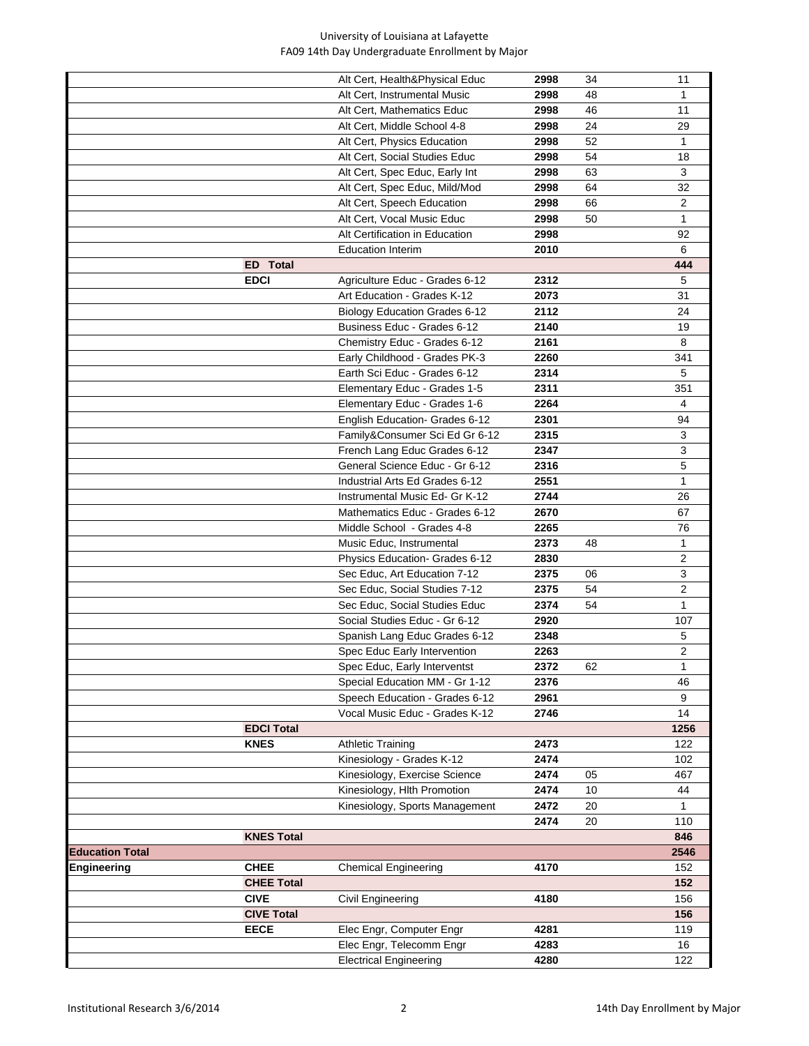|                        |                   | Alt Cert, Health&Physical Educ | 2998 | 34 | 11             |
|------------------------|-------------------|--------------------------------|------|----|----------------|
|                        |                   | Alt Cert, Instrumental Music   | 2998 | 48 | 1              |
|                        |                   | Alt Cert, Mathematics Educ     | 2998 | 46 | 11             |
|                        |                   | Alt Cert, Middle School 4-8    | 2998 | 24 | 29             |
|                        |                   | Alt Cert, Physics Education    | 2998 | 52 | 1              |
|                        |                   | Alt Cert, Social Studies Educ  | 2998 | 54 | 18             |
|                        |                   | Alt Cert, Spec Educ, Early Int | 2998 | 63 | 3              |
|                        |                   | Alt Cert, Spec Educ, Mild/Mod  | 2998 | 64 | 32             |
|                        |                   | Alt Cert, Speech Education     | 2998 | 66 | $\overline{2}$ |
|                        |                   | Alt Cert, Vocal Music Educ     | 2998 | 50 | $\mathbf{1}$   |
|                        |                   | Alt Certification in Education | 2998 |    | 92             |
|                        |                   | <b>Education Interim</b>       | 2010 |    | 6              |
|                        | <b>ED</b> Total   |                                |      |    | 444            |
|                        | <b>EDCI</b>       | Agriculture Educ - Grades 6-12 | 2312 |    | 5              |
|                        |                   | Art Education - Grades K-12    | 2073 |    | 31             |
|                        |                   | Biology Education Grades 6-12  | 2112 |    | 24             |
|                        |                   | Business Educ - Grades 6-12    | 2140 |    | 19             |
|                        |                   | Chemistry Educ - Grades 6-12   | 2161 |    | 8              |
|                        |                   | Early Childhood - Grades PK-3  | 2260 |    | 341            |
|                        |                   | Earth Sci Educ - Grades 6-12   | 2314 |    | 5              |
|                        |                   | Elementary Educ - Grades 1-5   | 2311 |    | 351            |
|                        |                   | Elementary Educ - Grades 1-6   | 2264 |    | 4              |
|                        |                   | English Education- Grades 6-12 | 2301 |    | 94             |
|                        |                   | Family&Consumer Sci Ed Gr 6-12 | 2315 |    | 3              |
|                        |                   | French Lang Educ Grades 6-12   | 2347 |    | 3              |
|                        |                   | General Science Educ - Gr 6-12 | 2316 |    | 5              |
|                        |                   | Industrial Arts Ed Grades 6-12 | 2551 |    | 1              |
|                        |                   | Instrumental Music Ed- Gr K-12 | 2744 |    | 26             |
|                        |                   | Mathematics Educ - Grades 6-12 | 2670 |    | 67             |
|                        |                   | Middle School - Grades 4-8     | 2265 |    | 76             |
|                        |                   | Music Educ, Instrumental       | 2373 | 48 | 1              |
|                        |                   | Physics Education- Grades 6-12 | 2830 |    | 2              |
|                        |                   | Sec Educ, Art Education 7-12   | 2375 | 06 | 3              |
|                        |                   | Sec Educ, Social Studies 7-12  | 2375 | 54 | $\overline{2}$ |
|                        |                   | Sec Educ, Social Studies Educ  | 2374 | 54 | $\mathbf{1}$   |
|                        |                   | Social Studies Educ - Gr 6-12  | 2920 |    | 107            |
|                        |                   | Spanish Lang Educ Grades 6-12  | 2348 |    | 5              |
|                        |                   | Spec Educ Early Intervention   | 2263 |    | 2              |
|                        |                   | Spec Educ, Early Interventst   | 2372 | 62 | $\mathbf{1}$   |
|                        |                   | Special Education MM - Gr 1-12 | 2376 |    | 46             |
|                        |                   | Speech Education - Grades 6-12 | 2961 |    | 9              |
|                        |                   | Vocal Music Educ - Grades K-12 | 2746 |    | 14             |
|                        | <b>EDCI Total</b> |                                |      |    | 1256           |
|                        | <b>KNES</b>       | <b>Athletic Training</b>       | 2473 |    | 122            |
|                        |                   | Kinesiology - Grades K-12      | 2474 |    | 102            |
|                        |                   | Kinesiology, Exercise Science  | 2474 | 05 | 467            |
|                        |                   | Kinesiology, Hlth Promotion    | 2474 | 10 | 44             |
|                        |                   | Kinesiology, Sports Management | 2472 | 20 | 1              |
|                        |                   |                                | 2474 | 20 | 110            |
|                        | <b>KNES Total</b> |                                |      |    | 846            |
| <b>Education Total</b> |                   |                                |      |    | 2546           |
| Engineering            | CHEE              | <b>Chemical Engineering</b>    | 4170 |    | 152            |
|                        | <b>CHEE Total</b> |                                |      |    | 152            |
|                        | <b>CIVE</b>       | Civil Engineering              | 4180 |    | 156            |
|                        | <b>CIVE Total</b> |                                |      |    | 156            |
|                        | <b>EECE</b>       | Elec Engr, Computer Engr       | 4281 |    | 119            |
|                        |                   | Elec Engr, Telecomm Engr       | 4283 |    | 16             |
|                        |                   | <b>Electrical Engineering</b>  | 4280 |    | 122            |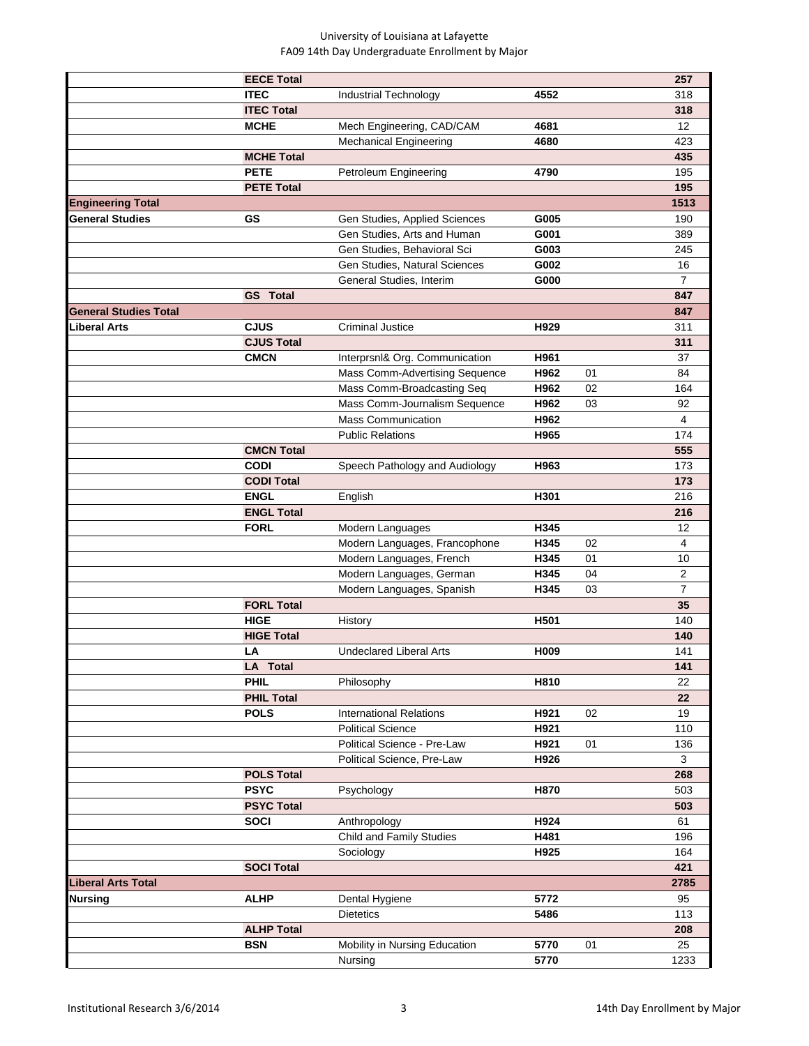|                              | <b>EECE Total</b> |                                |                  |    | 257                     |
|------------------------------|-------------------|--------------------------------|------------------|----|-------------------------|
|                              | <b>ITEC</b>       | Industrial Technology          | 4552             |    | 318                     |
|                              | <b>ITEC Total</b> |                                |                  |    | 318                     |
|                              | <b>MCHE</b>       | Mech Engineering, CAD/CAM      | 4681             |    | 12                      |
|                              |                   | <b>Mechanical Engineering</b>  | 4680             |    | 423                     |
|                              | <b>MCHE Total</b> |                                |                  |    | 435                     |
|                              | <b>PETE</b>       | Petroleum Engineering          | 4790             |    | 195                     |
|                              | <b>PETE Total</b> |                                |                  |    | 195                     |
| <b>Engineering Total</b>     |                   |                                |                  |    | 1513                    |
| <b>General Studies</b>       | GS                | Gen Studies, Applied Sciences  | G005             |    | 190                     |
|                              |                   | Gen Studies, Arts and Human    | G001             |    | 389                     |
|                              |                   | Gen Studies, Behavioral Sci    | G003             |    | 245                     |
|                              |                   |                                |                  |    |                         |
|                              |                   | Gen Studies, Natural Sciences  | G002             |    | 16                      |
|                              |                   | General Studies, Interim       | G000             |    | $\overline{7}$          |
|                              | <b>GS</b> Total   |                                |                  |    | 847                     |
| <b>General Studies Total</b> |                   |                                |                  |    | 847                     |
| iberal Arts.                 | <b>CJUS</b>       | <b>Criminal Justice</b>        | H929             |    | 311                     |
|                              | <b>CJUS Total</b> |                                |                  |    | 311                     |
|                              | <b>CMCN</b>       | Interprsnl& Org. Communication | H961             |    | 37                      |
|                              |                   | Mass Comm-Advertising Sequence | H962             | 01 | 84                      |
|                              |                   | Mass Comm-Broadcasting Seq     | H962             | 02 | 164                     |
|                              |                   | Mass Comm-Journalism Sequence  | H962             | 03 | 92                      |
|                              |                   | <b>Mass Communication</b>      | H962             |    | 4                       |
|                              |                   | <b>Public Relations</b>        | H965             |    | 174                     |
|                              | <b>CMCN Total</b> |                                |                  |    | 555                     |
|                              | <b>CODI</b>       | Speech Pathology and Audiology | H963             |    | 173                     |
|                              | <b>CODI Total</b> |                                |                  |    | 173                     |
|                              | <b>ENGL</b>       | English                        | H301             |    | 216                     |
|                              | <b>ENGL Total</b> |                                |                  |    | 216                     |
|                              | <b>FORL</b>       | Modern Languages               | H345             |    | 12                      |
|                              |                   | Modern Languages, Francophone  | H345             | 02 | $\overline{\mathbf{4}}$ |
|                              |                   | Modern Languages, French       | H345             | 01 | 10                      |
|                              |                   | Modern Languages, German       | H345             | 04 | $\overline{2}$          |
|                              |                   | Modern Languages, Spanish      | H345             | 03 | 7                       |
|                              | <b>FORL Total</b> |                                |                  |    | 35                      |
|                              | <b>HIGE</b>       | History                        | H501             |    | 140                     |
|                              | <b>HIGE Total</b> |                                |                  |    | 140                     |
|                              | LA                | <b>Undeclared Liberal Arts</b> | H <sub>009</sub> |    | 141                     |
|                              | <b>LA Total</b>   |                                |                  |    | 141                     |
|                              | <b>PHIL</b>       | Philosophy                     | H810             |    | 22                      |
|                              | <b>PHIL Total</b> |                                |                  |    | 22                      |
|                              | <b>POLS</b>       | <b>International Relations</b> | H921             | 02 | 19                      |
|                              |                   | <b>Political Science</b>       | H921             |    | 110                     |
|                              |                   | Political Science - Pre-Law    | H921             | 01 | 136                     |
|                              |                   | Political Science, Pre-Law     | H926             |    | 3                       |
|                              | <b>POLS Total</b> |                                |                  |    | 268                     |
|                              | <b>PSYC</b>       | Psychology                     | H870             |    | 503                     |
|                              | <b>PSYC Total</b> |                                |                  |    | 503                     |
|                              | <b>SOCI</b>       | Anthropology                   | H924             |    | 61                      |
|                              |                   | Child and Family Studies       | H481             |    | 196                     |
|                              |                   | Sociology                      | H925             |    | 164                     |
|                              | <b>SOCI Total</b> |                                |                  |    | 421                     |
|                              |                   |                                |                  |    | 2785                    |
| Liberal Arts Total           | <b>ALHP</b>       |                                | 5772             |    | 95                      |
| Nursing                      |                   | Dental Hygiene                 | 5486             |    |                         |
|                              |                   | <b>Dietetics</b>               |                  |    | 113                     |
|                              | <b>ALHP Total</b> |                                |                  |    | 208                     |
|                              | <b>BSN</b>        | Mobility in Nursing Education  | 5770             | 01 | 25                      |
|                              |                   | Nursing                        | 5770             |    | 1233                    |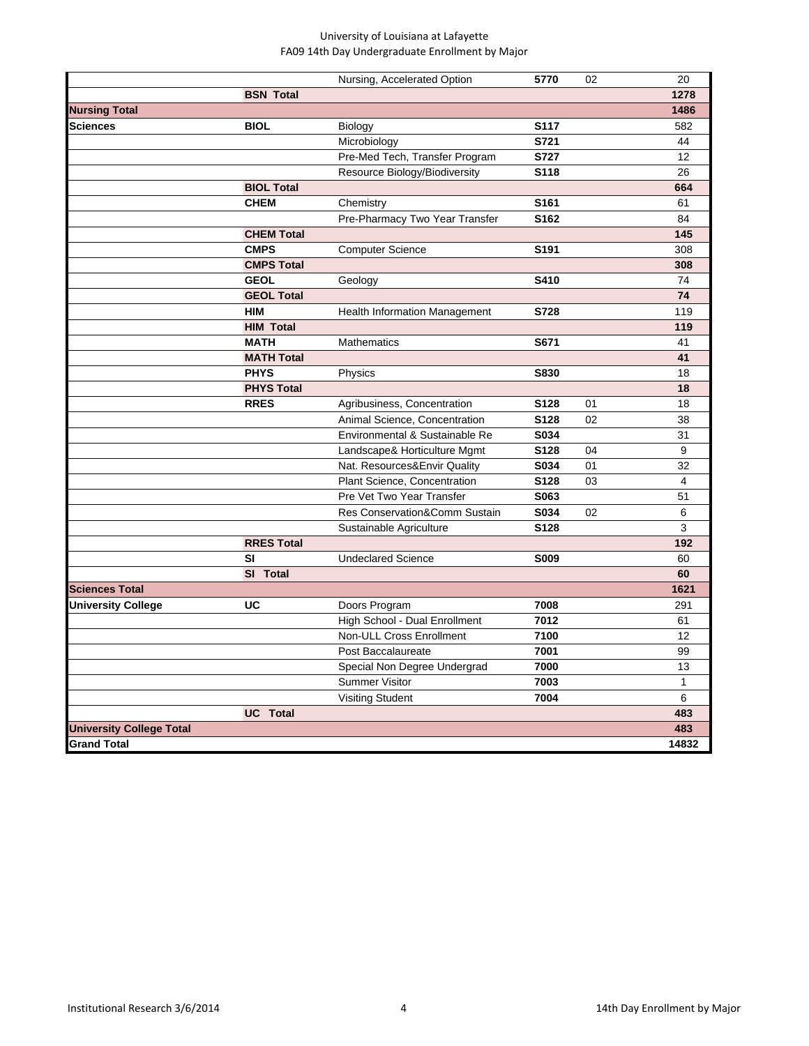|                                 |                   | Nursing, Accelerated Option    | 5770             | 02 | 20           |
|---------------------------------|-------------------|--------------------------------|------------------|----|--------------|
|                                 | <b>BSN Total</b>  |                                |                  |    | 1278         |
| <b>Nursing Total</b>            |                   |                                |                  |    | 1486         |
| Sciences                        | <b>BIOL</b>       | <b>Biology</b>                 | <b>S117</b>      |    | 582          |
|                                 |                   | Microbiology                   | S721             |    | 44           |
|                                 |                   | Pre-Med Tech, Transfer Program | <b>S727</b>      |    | 12           |
|                                 |                   | Resource Biology/Biodiversity  | S118             |    | 26           |
|                                 | <b>BIOL Total</b> |                                |                  |    | 664          |
|                                 | <b>CHEM</b>       | Chemistry                      | S161             |    | 61           |
|                                 |                   | Pre-Pharmacy Two Year Transfer | S162             |    | 84           |
|                                 | <b>CHEM Total</b> |                                |                  |    | 145          |
|                                 | <b>CMPS</b>       | <b>Computer Science</b>        | S191             |    | 308          |
|                                 | <b>CMPS Total</b> |                                |                  |    | 308          |
|                                 | <b>GEOL</b>       | Geology                        | <b>S410</b>      |    | 74           |
|                                 | <b>GEOL Total</b> |                                |                  |    | 74           |
|                                 | <b>HIM</b>        | Health Information Management  | S728             |    | 119          |
|                                 | <b>HIM Total</b>  |                                |                  |    | 119          |
|                                 | <b>MATH</b>       | Mathematics                    | S671             |    | 41           |
|                                 | <b>MATH Total</b> |                                |                  |    | 41           |
|                                 | <b>PHYS</b>       | Physics                        | <b>S830</b>      |    | 18           |
|                                 | <b>PHYS Total</b> |                                |                  |    | 18           |
|                                 | <b>RRES</b>       | Agribusiness, Concentration    | S <sub>128</sub> | 01 | 18           |
|                                 |                   | Animal Science, Concentration  | S128             | 02 | 38           |
|                                 |                   | Environmental & Sustainable Re | S034             |    | 31           |
|                                 |                   | Landscape& Horticulture Mgmt   | S128             | 04 | 9            |
|                                 |                   | Nat. Resources&Envir Quality   | S034             | 01 | 32           |
|                                 |                   | Plant Science, Concentration   | S128             | 03 | 4            |
|                                 |                   | Pre Vet Two Year Transfer      | S063             |    | 51           |
|                                 |                   | Res Conservation&Comm Sustain  | S034             | 02 | 6            |
|                                 |                   | Sustainable Agriculture        | S128             |    | 3            |
|                                 | <b>RRES Total</b> |                                |                  |    | 192          |
|                                 | SI                | <b>Undeclared Science</b>      | <b>S009</b>      |    | 60           |
|                                 | SI Total          |                                |                  |    | 60           |
| <b>Sciences Total</b>           |                   |                                |                  |    | 1621         |
| <b>University College</b>       | UC                | Doors Program                  | 7008             |    | 291          |
|                                 |                   | High School - Dual Enrollment  | 7012             |    | 61           |
|                                 |                   | Non-ULL Cross Enrollment       | 7100             |    | 12           |
|                                 |                   | Post Baccalaureate             | 7001             |    | 99           |
|                                 |                   | Special Non Degree Undergrad   | 7000             |    | 13           |
|                                 |                   | <b>Summer Visitor</b>          | 7003             |    | $\mathbf{1}$ |
|                                 |                   | <b>Visiting Student</b>        | 7004             |    | 6            |
|                                 | <b>UC</b> Total   |                                |                  |    | 483          |
| <b>University College Total</b> |                   |                                |                  |    | 483          |
| <b>Grand Total</b>              |                   |                                |                  |    | 14832        |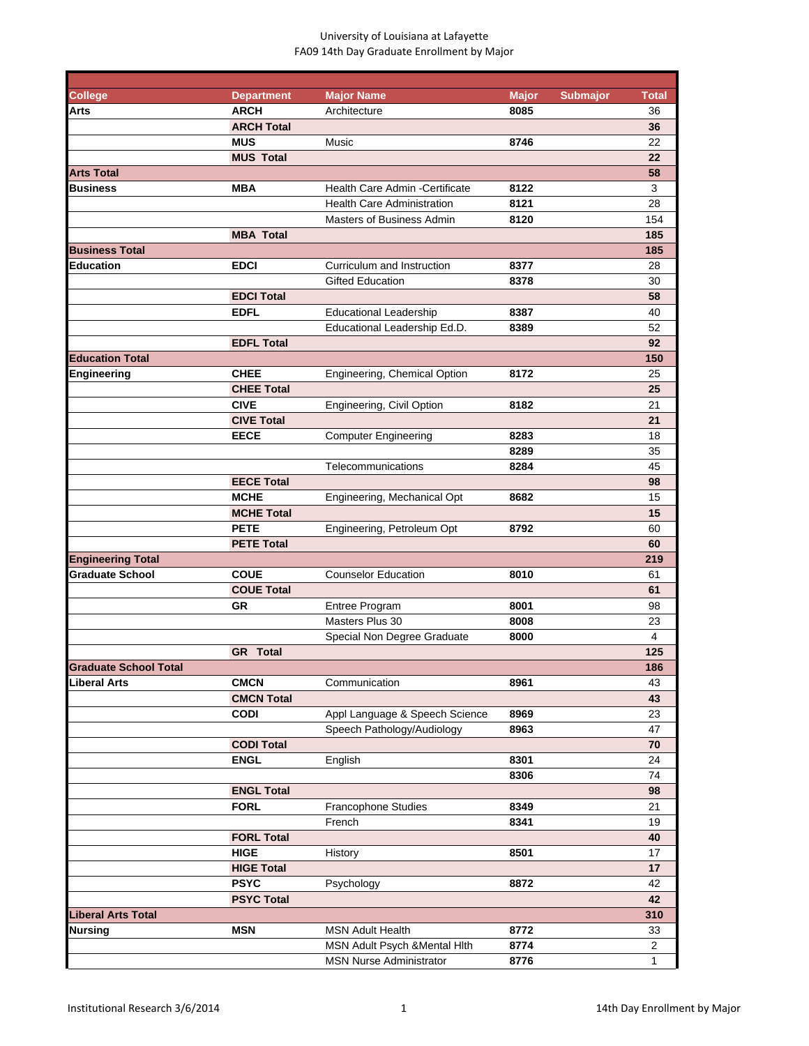| <b>College</b>                                     | <b>Department</b> | <b>Major Name</b>                 | <b>Major</b> | <b>Submajor</b> | <b>Total</b>   |
|----------------------------------------------------|-------------------|-----------------------------------|--------------|-----------------|----------------|
| Arts                                               | <b>ARCH</b>       | Architecture                      | 8085         |                 | 36             |
|                                                    | <b>ARCH Total</b> |                                   |              |                 | 36             |
|                                                    | <b>MUS</b>        | Music                             | 8746         |                 | 22             |
|                                                    | <b>MUS Total</b>  |                                   |              |                 | 22             |
| <b>Arts Total</b>                                  |                   |                                   |              |                 | 58             |
| Business                                           | <b>MBA</b>        | Health Care Admin - Certificate   | 8122         |                 | 3              |
|                                                    |                   | <b>Health Care Administration</b> | 8121         |                 | 28             |
|                                                    |                   | Masters of Business Admin         | 8120         |                 | 154            |
|                                                    | <b>MBA Total</b>  |                                   |              |                 | 185            |
| <b>Business Total</b>                              |                   |                                   |              |                 |                |
|                                                    |                   |                                   |              |                 | 185            |
| <b>Education</b>                                   | <b>EDCI</b>       | Curriculum and Instruction        | 8377         |                 | 28             |
|                                                    |                   | <b>Gifted Education</b>           | 8378         |                 | 30             |
|                                                    | <b>EDCI Total</b> |                                   |              |                 | 58             |
|                                                    | <b>EDFL</b>       | <b>Educational Leadership</b>     | 8387         |                 | 40             |
|                                                    |                   | Educational Leadership Ed.D.      | 8389         |                 | 52             |
|                                                    | <b>EDFL Total</b> |                                   |              |                 | 92             |
| <b>Education Total</b>                             |                   |                                   |              |                 | 150            |
| Engineering                                        | <b>CHEE</b>       | Engineering, Chemical Option      | 8172         |                 | 25             |
|                                                    | <b>CHEE Total</b> |                                   |              |                 | 25             |
|                                                    | <b>CIVE</b>       | Engineering, Civil Option         | 8182         |                 | 21             |
|                                                    | <b>CIVE Total</b> |                                   |              |                 | 21             |
|                                                    | <b>EECE</b>       | <b>Computer Engineering</b>       | 8283         |                 | 18             |
|                                                    |                   |                                   | 8289         |                 | 35             |
|                                                    |                   | Telecommunications                | 8284         |                 | 45             |
|                                                    | <b>EECE Total</b> |                                   |              |                 | 98             |
|                                                    | <b>MCHE</b>       | Engineering, Mechanical Opt       | 8682         |                 | 15             |
|                                                    | <b>MCHE Total</b> |                                   |              |                 | 15             |
|                                                    | <b>PETE</b>       | Engineering, Petroleum Opt        | 8792         |                 | 60             |
|                                                    | <b>PETE Total</b> |                                   |              |                 | 60             |
|                                                    |                   |                                   |              |                 | 219            |
| <b>Engineering Total</b><br><b>Graduate School</b> |                   |                                   |              |                 |                |
|                                                    | <b>COUE</b>       | <b>Counselor Education</b>        | 8010         |                 | 61             |
|                                                    | <b>COUE Total</b> |                                   |              |                 | 61             |
|                                                    | <b>GR</b>         | Entree Program                    | 8001         |                 | 98             |
|                                                    |                   | Masters Plus 30                   | 8008         |                 | 23             |
|                                                    |                   | Special Non Degree Graduate       | 8000         |                 | 4              |
|                                                    | <b>GR</b> Total   |                                   |              |                 | 125            |
| <b>Graduate School Total</b>                       |                   |                                   |              |                 | 186            |
| Liberal Arts                                       | <b>CMCN</b>       | Communication                     | 8961         |                 | 43             |
|                                                    | <b>CMCN Total</b> |                                   |              |                 | 43             |
|                                                    | <b>CODI</b>       | Appl Language & Speech Science    | 8969         |                 | 23             |
|                                                    |                   | Speech Pathology/Audiology        | 8963         |                 | 47             |
|                                                    | <b>CODI Total</b> |                                   |              |                 | 70             |
|                                                    | <b>ENGL</b>       | English                           | 8301         |                 | 24             |
|                                                    |                   |                                   | 8306         |                 | 74             |
|                                                    | <b>ENGL Total</b> |                                   |              |                 | 98             |
|                                                    | <b>FORL</b>       | Francophone Studies               | 8349         |                 | 21             |
|                                                    |                   | French                            | 8341         |                 | 19             |
|                                                    | <b>FORL Total</b> |                                   |              |                 | 40             |
|                                                    | <b>HIGE</b>       | History                           | 8501         |                 | 17             |
|                                                    | <b>HIGE Total</b> |                                   |              |                 | 17             |
|                                                    | <b>PSYC</b>       |                                   |              |                 | 42             |
|                                                    |                   | Psychology                        | 8872         |                 |                |
|                                                    | <b>PSYC Total</b> |                                   |              |                 | 42             |
| <b>Liberal Arts Total</b>                          |                   |                                   |              |                 | 310            |
| Nursing                                            | <b>MSN</b>        | <b>MSN Adult Health</b>           | 8772         |                 | 33             |
|                                                    |                   | MSN Adult Psych & Mental Hith     | 8774         |                 | $\overline{2}$ |
|                                                    |                   | <b>MSN Nurse Administrator</b>    | 8776         |                 | 1              |